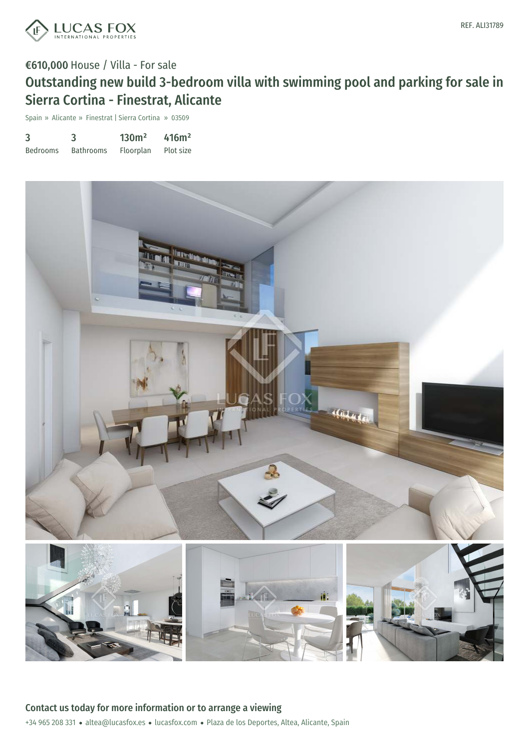

Spain » Alicante » Finestrat | Sierra Cortina » 03509

| 3               | 3                | 130m <sup>2</sup> | 416m <sup>2</sup> |
|-----------------|------------------|-------------------|-------------------|
| <b>Bedrooms</b> | <b>Bathrooms</b> | Floorplan         | Plot size         |

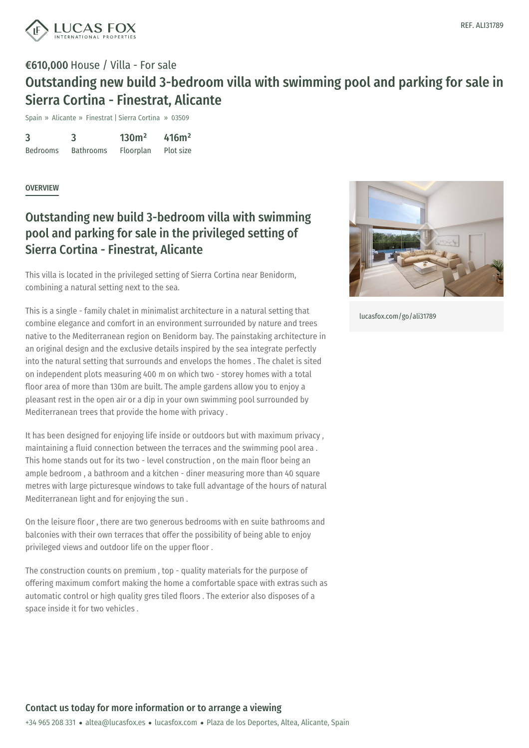

Spain » Alicante » Finestrat | Sierra Cortina » 03509

3 Bedrooms 3 Bathrooms 130m² Floorplan 416m² Plot size

#### **OVERVIEW**

### Outstanding new build 3-bedroom villa with swimming pool and parking for sale in the privileged setting of Sierra Cortina - Finestrat, Alicante

This villa is located in the privileged setting of Sierra Cortina near Benidorm, combining a natural setting next to the sea.

This is a single - family chalet in minimalist architecture in a natural setting that combine elegance and comfort in an environment surrounded by nature and trees native to the Mediterranean region on Benidorm bay. The painstaking architecture in an original design and the exclusive details inspired by the sea integrate perfectly into the natural setting that surrounds and envelops the homes . The chalet is sited on independent plots measuring 400 m on which two - storey homes with a total floor area of more than 130m are built. The ample gardens allow you to enjoy a pleasant rest in the open air or a dip in your own swimming pool surrounded by Mediterranean trees that provide the home with privacy .

It has been designed for enjoying life inside or outdoors but with maximum privacy , maintaining a fluid connection between the terraces and the swimming pool area . This home stands out for its two - level construction , on the main floor being an ample bedroom , a bathroom and a kitchen - diner measuring more than 40 square metres with large picturesque windows to take full advantage of the hours of natural Mediterranean light and for enjoying the sun .

On the leisure floor , there are two generous bedrooms with en suite bathrooms and balconies with their own [terraces](mailto:altea@lucasfox.es) that [offer](https://www.lucasfox.com) the possibility of being able to enjoy privileged views and outdoor life on the upper floor .

The construction counts on premium , top - quality materials for the purpose of offering maximum comfort making the home a comfortable space with extras such as automatic control or high quality gres tiled floors . The exterior also disposes of a space inside it for two vehicles .



[lucasfox.com/go/ali31789](https://www.lucasfox.com/go/ali31789)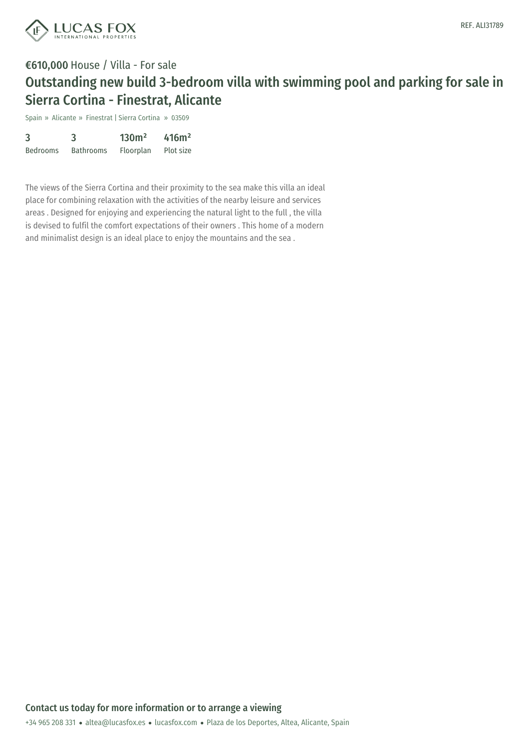

Spain » Alicante » Finestrat | Sierra Cortina » 03509

| 3               | 3                | 130 <sup>m²</sup> | 416m <sup>2</sup> |
|-----------------|------------------|-------------------|-------------------|
| <b>Bedrooms</b> | <b>Bathrooms</b> | Floorplan         | Plot size         |

The views of the Sierra Cortina and their proximity to the sea make this villa an ideal place for combining relaxation with the activities of the nearby leisure and services areas . Designed for enjoying and experiencing the natural light to the full , the villa is devised to fulfil the comfort expectations of their owners . This home of a modern and minimalist design is an ideal place to enjoy the mountains and the sea .